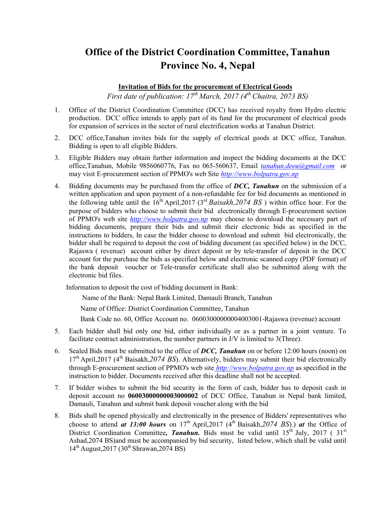## Office of the District Coordination Committee, Tanahun Province No. 4, Nepal

## Invitation of Bids for the procurement of Electrical Goods

First date of publication:  $17^{\text{th}}$  March, 2017 (4<sup>th</sup> Chaitra, 2073 BS)

- 1. Office of the District Coordination Committee (DCC) has received royalty from Hydro electric production. DCC office intends to apply part of its fund for the procurement of electrical goods for expansion of services in the sector of rural electrification works at Tanahun District.
- 2. DCC office,Tanahun invites bids for the supply of electrical goods at DCC office, Tanahun. Bidding is open to all eligible Bidders.
- 3. Eligible Bidders may obtain further information and inspect the bidding documents at the DCC office,Tanahun, Mobile 9856060776, Fax no 065-560637, Email tanahun.deeu@gmail.com or may visit E-procurement section of PPMO's web Site http://www.bolpatra.gov.np
- 4. Bidding documents may be purchased from the office of DCC, Tanahun on the submission of a written application and upon payment of a non-refundable fee for bid documents as mentioned in the following table until the  $16<sup>th</sup>$  April,2017 (3<sup>rd</sup> Baisakh,2074 BS) within office hour. For the purpose of bidders who choose to submit their bid electronically through E-procurement section of PPMO's web site http://www.bolpatra.gov.np may choose to download the necessary part of bidding documents, prepare their bids and submit their electronic bids as specified in the instructions to bidders, In case the bidder choose to download and submit bid electronically, the bidder shall be required to deposit the cost of bidding document (as specified below) in the DCC, Rajaswa ( revenue) account either by direct deposit or by tele-transfer of deposit in the DCC account for the purchase the bids as specified below and electronic scanned copy (PDF format) of the bank deposit voucher or Tele-transfer certificate shall also be submitted along with the electronic bid files.

Information to deposit the cost of bidding document in Bank:

Name of the Bank: Nepal Bank Limited, Damauli Branch, Tanahun

Name of Office: District Coordination Committee, Tanahun

Bank Code no. 60, Office Account no. 06003000000004003001-Rajaswa (revenue) account

- 5. Each bidder shall bid only one bid, either individually or as a partner in a joint venture. To facilitate contract administration, the number partners in J/V is limited to 3(Three).
- 6. Sealed Bids must be submitted to the office of  $DCC$ , Tanahun on or before 12:00 hours (noon) on  $17<sup>th</sup>$  April,2017 (4<sup>th</sup> Baisakh,2074 BS). Alternatively, bidders may submit their bid electronically through E-procurement section of PPMO's web site http://www.bolpatra.gov.np as specified in the instruction to bidder. Documents received after this deadline shall not be accepted.
- 7. If bidder wishes to submit the bid security in the form of cash, bidder has to deposit cash in deposit account no 06003000000003000002 of DCC Office, Tanahun in Nepal bank limited, Damauli, Tanahun and submit bank deposit voucher along with the bid
- 8. Bids shall be opened physically and electronically in the presence of Bidders' representatives who choose to attend at 13:00 hours on  $17<sup>th</sup>$  April,2017 ( $4<sup>th</sup>$  Baisakh,2074 BS).) at the Office of District Coordination Committee, Tanahun. Bids must be valid until  $15^{th}$  July, 2017 (31st Ashad,2074 BS)and must be accompanied by bid security, listed below, which shall be valid until  $14^{th}$  August,  $2017$  ( $30^{th}$  Shrawan,  $2074$  BS)